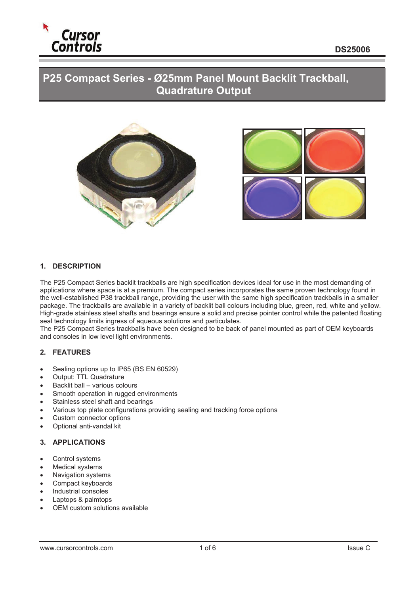

# **P25 Compact Series - Ø25mm Panel Mount Backlit Trackball, Quadrature Output**





#### **1. DESCRIPTION**

The P25 Compact Series backlit trackballs are high specification devices ideal for use in the most demanding of applications where space is at a premium. The compact series incorporates the same proven technology found in the well-established P38 trackball range, providing the user with the same high specification trackballs in a smaller package. The trackballs are available in a variety of backlit ball colours including blue, green, red, white and yellow. High-grade stainless steel shafts and bearings ensure a solid and precise pointer control while the patented floating seal technology limits ingress of aqueous solutions and particulates.

The P25 Compact Series trackballs have been designed to be back of panel mounted as part of OEM keyboards and consoles in low level light environments.

#### **2. FEATURES**

- Sealing options up to IP65 (BS EN 60529)
- Output: TTL Quadrature
- $\bullet$  Backlit ball various colours
- Smooth operation in rugged environments
- Stainless steel shaft and bearings
- Various top plate configurations providing sealing and tracking force options
- Custom connector options
- Optional anti-vandal kit

## **3. APPLICATIONS**

- Control systems
- **Medical systems**
- Navigation systems
- Compact keyboards
- Industrial consoles
- Laptops & palmtops
- OEM custom solutions available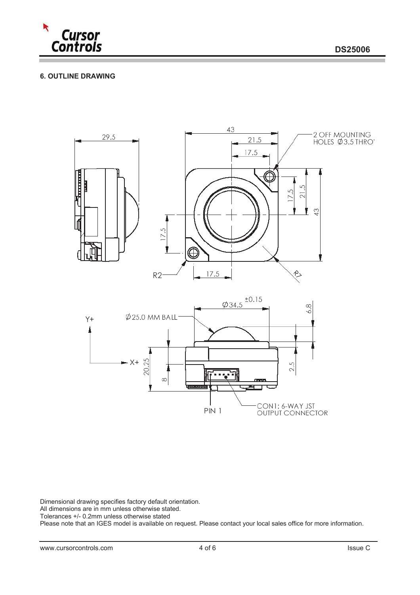

## **6. OUTLINE DRAWING**



Dimensional drawing specifies factory default orientation.

All dimensions are in mm unless otherwise stated.

Tolerances +/- 0.2mm unless otherwise stated

Please note that an IGES model is available on request. Please contact your local sales office for more information.